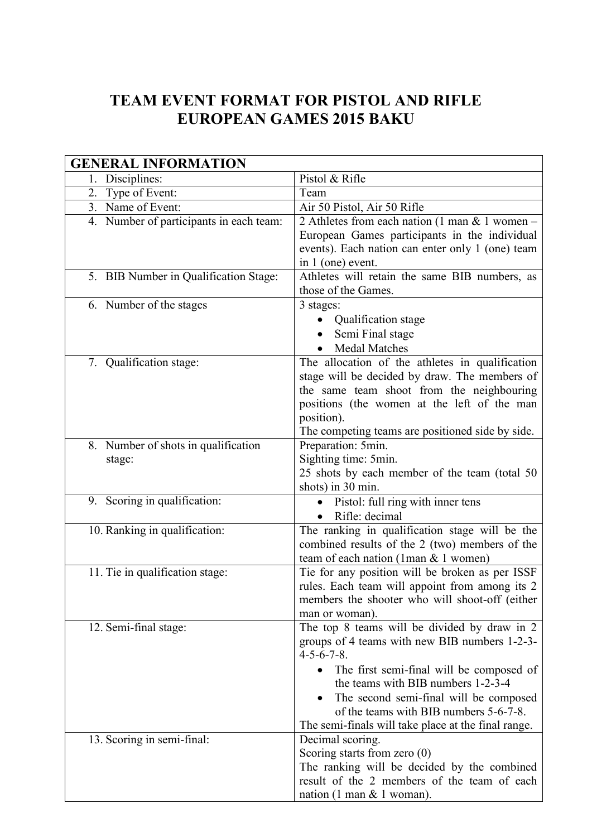## **TEAM EVENT FORMAT FOR PISTOL AND RIFLE EUROPEAN GAMES 2015 BAKU**

| <b>GENERAL INFORMATION</b>              |                                                                                         |
|-----------------------------------------|-----------------------------------------------------------------------------------------|
| 1. Disciplines:                         | Pistol & Rifle                                                                          |
| 2. Type of Event:                       | Team                                                                                    |
| 3. Name of Event:                       | Air 50 Pistol, Air 50 Rifle                                                             |
| 4. Number of participants in each team: | 2 Athletes from each nation (1 man $&$ 1 women –                                        |
|                                         | European Games participants in the individual                                           |
|                                         | events). Each nation can enter only 1 (one) team                                        |
|                                         | in 1 (one) event.                                                                       |
| 5. BIB Number in Qualification Stage:   | Athletes will retain the same BIB numbers, as                                           |
|                                         | those of the Games.                                                                     |
| 6. Number of the stages                 | 3 stages:                                                                               |
|                                         | Qualification stage                                                                     |
|                                         | Semi Final stage                                                                        |
|                                         | <b>Medal Matches</b>                                                                    |
| 7. Qualification stage:                 | The allocation of the athletes in qualification                                         |
|                                         | stage will be decided by draw. The members of                                           |
|                                         | the same team shoot from the neighbouring                                               |
|                                         | positions (the women at the left of the man                                             |
|                                         | position).                                                                              |
|                                         | The competing teams are positioned side by side.                                        |
| 8. Number of shots in qualification     | Preparation: 5min.                                                                      |
| stage:                                  | Sighting time: 5min.                                                                    |
|                                         | 25 shots by each member of the team (total 50)                                          |
|                                         | shots) in 30 min.                                                                       |
| 9. Scoring in qualification:            | • Pistol: full ring with inner tens                                                     |
|                                         | Rifle: decimal                                                                          |
| 10. Ranking in qualification:           | The ranking in qualification stage will be the                                          |
|                                         | combined results of the 2 (two) members of the                                          |
| 11. Tie in qualification stage:         | team of each nation (1man & 1 women)<br>Tie for any position will be broken as per ISSF |
|                                         | rules. Each team will appoint from among its 2                                          |
|                                         | members the shooter who will shoot-off (either)                                         |
|                                         | man or woman).                                                                          |
| 12. Semi-final stage:                   | The top 8 teams will be divided by draw in 2                                            |
|                                         | groups of 4 teams with new BIB numbers 1-2-3-                                           |
|                                         | $4 - 5 - 6 - 7 - 8$ .                                                                   |
|                                         | The first semi-final will be composed of                                                |
|                                         | the teams with BIB numbers 1-2-3-4                                                      |
|                                         | The second semi-final will be composed                                                  |
|                                         | of the teams with BIB numbers 5-6-7-8.                                                  |
|                                         | The semi-finals will take place at the final range.                                     |
| 13. Scoring in semi-final:              | Decimal scoring.                                                                        |
|                                         | Scoring starts from zero $(0)$                                                          |
|                                         | The ranking will be decided by the combined                                             |
|                                         | result of the 2 members of the team of each                                             |
|                                         | nation (1 man $&$ 1 woman).                                                             |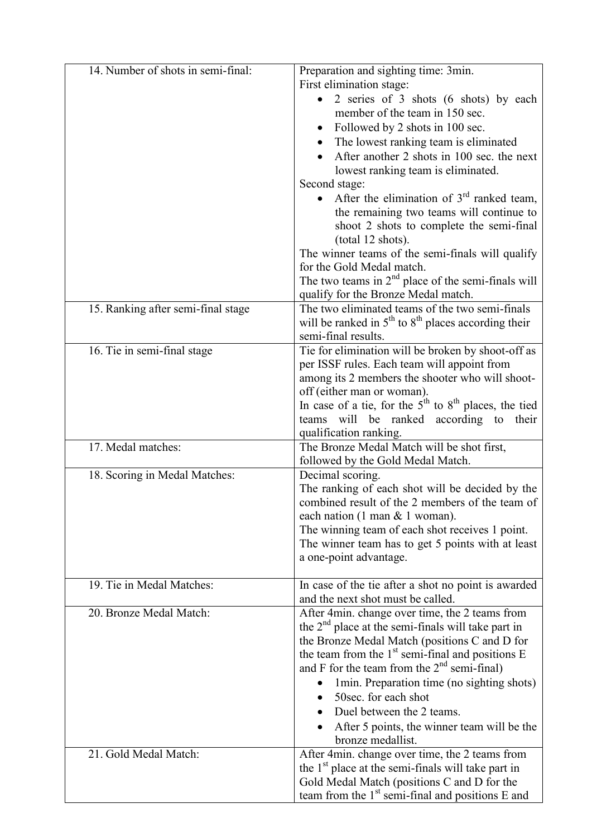| 14. Number of shots in semi-final: | Preparation and sighting time: 3min.<br>First elimination stage:                                    |
|------------------------------------|-----------------------------------------------------------------------------------------------------|
|                                    | 2 series of 3 shots (6 shots) by each                                                               |
|                                    | member of the team in 150 sec.                                                                      |
|                                    |                                                                                                     |
|                                    | Followed by 2 shots in 100 sec.                                                                     |
|                                    | The lowest ranking team is eliminated                                                               |
|                                    | After another 2 shots in 100 sec. the next                                                          |
|                                    | lowest ranking team is eliminated.                                                                  |
|                                    | Second stage:                                                                                       |
|                                    | After the elimination of $3rd$ ranked team,                                                         |
|                                    | the remaining two teams will continue to                                                            |
|                                    | shoot 2 shots to complete the semi-final                                                            |
|                                    | (total 12 shots).                                                                                   |
|                                    | The winner teams of the semi-finals will qualify                                                    |
|                                    | for the Gold Medal match.<br>The two teams in $2nd$ place of the semi-finals will                   |
|                                    |                                                                                                     |
|                                    | qualify for the Bronze Medal match.<br>The two eliminated teams of the two semi-finals              |
| 15. Ranking after semi-final stage | will be ranked in $5th$ to $8th$ places according their                                             |
|                                    | semi-final results.                                                                                 |
|                                    |                                                                                                     |
| 16. Tie in semi-final stage        | Tie for elimination will be broken by shoot-off as<br>per ISSF rules. Each team will appoint from   |
|                                    |                                                                                                     |
|                                    | among its 2 members the shooter who will shoot-<br>off (either man or woman).                       |
|                                    | In case of a tie, for the $5th$ to $8th$ places, the tied                                           |
|                                    | teams will be ranked according to their                                                             |
|                                    | qualification ranking.                                                                              |
| 17. Medal matches:                 | The Bronze Medal Match will be shot first,                                                          |
|                                    | followed by the Gold Medal Match.                                                                   |
| 18. Scoring in Medal Matches:      | Decimal scoring.                                                                                    |
|                                    | The ranking of each shot will be decided by the                                                     |
|                                    | combined result of the 2 members of the team of                                                     |
|                                    | each nation $(1 \text{ man } \& 1 \text{ woman})$ .                                                 |
|                                    | The winning team of each shot receives 1 point.                                                     |
|                                    | The winner team has to get 5 points with at least                                                   |
|                                    | a one-point advantage.                                                                              |
|                                    |                                                                                                     |
| 19. Tie in Medal Matches:          | In case of the tie after a shot no point is awarded                                                 |
| 20. Bronze Medal Match:            | and the next shot must be called.                                                                   |
|                                    | After 4min. change over time, the 2 teams from                                                      |
|                                    | the $2nd$ place at the semi-finals will take part in                                                |
|                                    | the Bronze Medal Match (positions C and D for<br>the team from the $1st$ semi-final and positions E |
|                                    | and F for the team from the $2nd$ semi-final)                                                       |
|                                    |                                                                                                     |
|                                    | 1 min. Preparation time (no sighting shots)                                                         |
|                                    | 50sec. for each shot                                                                                |
|                                    | Duel between the 2 teams.                                                                           |
|                                    | After 5 points, the winner team will be the<br>bronze medallist.                                    |
| 21. Gold Medal Match:              | After 4min. change over time, the 2 teams from                                                      |
|                                    | the $1st$ place at the semi-finals will take part in                                                |
|                                    | Gold Medal Match (positions C and D for the                                                         |
|                                    | team from the $1st$ semi-final and positions E and                                                  |